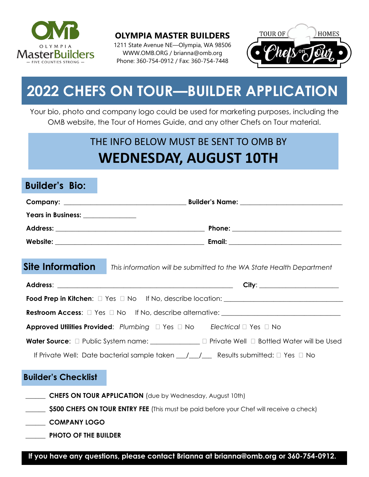

**OLYMPIA MASTER BUILDERS**

1211 State Avenue NE—Olympia, WA 98506 WWW.OMB.ORG / brianna@omb.org Phone: 360-754-0912 / Fax: 360-754-7448



# **2022 CHEFS ON TOUR—BUILDER APPLICATION**

Your bio, photo and company logo could be used for marketing purposes, including the OMB website, the Tour of Homes Guide, and any other Chefs on Tour material.

## THE INFO BELOW MUST BE SENT TO OMB BY **WEDNESDAY, AUGUST 10TH**

#### **Builder's Bio:**

| Years in Business: ______________                                                                                                                  |                                                                                                   |
|----------------------------------------------------------------------------------------------------------------------------------------------------|---------------------------------------------------------------------------------------------------|
|                                                                                                                                                    |                                                                                                   |
|                                                                                                                                                    |                                                                                                   |
|                                                                                                                                                    | Site Information This information will be submitted to the WA State Health Department             |
|                                                                                                                                                    |                                                                                                   |
|                                                                                                                                                    |                                                                                                   |
|                                                                                                                                                    |                                                                                                   |
|                                                                                                                                                    | <b>Approved Utilities Provided:</b> Plumbing $\Box$ Yes $\Box$ No Electrical $\Box$ Yes $\Box$ No |
| Water Source: $\Box$ Public System name: $\Box$ Private Well $\Box$ Bottled Water will be Used                                                     |                                                                                                   |
| If Private Well: Date bacterial sample taken $\underline{\hspace{1cm}}$ / $\underline{\hspace{1cm}}$ Results submitted: $\square$ Yes $\square$ No |                                                                                                   |
| <b>Builder's Checklist</b>                                                                                                                         |                                                                                                   |
| <b>CHEFS ON TOUR APPLICATION</b> (due by Wednesday, August 10th)                                                                                   |                                                                                                   |
| <b>\$500 CHEFS ON TOUR ENTRY FEE</b> (This must be paid before your Chef will receive a check)                                                     |                                                                                                   |
| <b>COMPANY LOGO</b>                                                                                                                                |                                                                                                   |
| <b>PHOTO OF THE BUILDER</b>                                                                                                                        |                                                                                                   |
|                                                                                                                                                    |                                                                                                   |